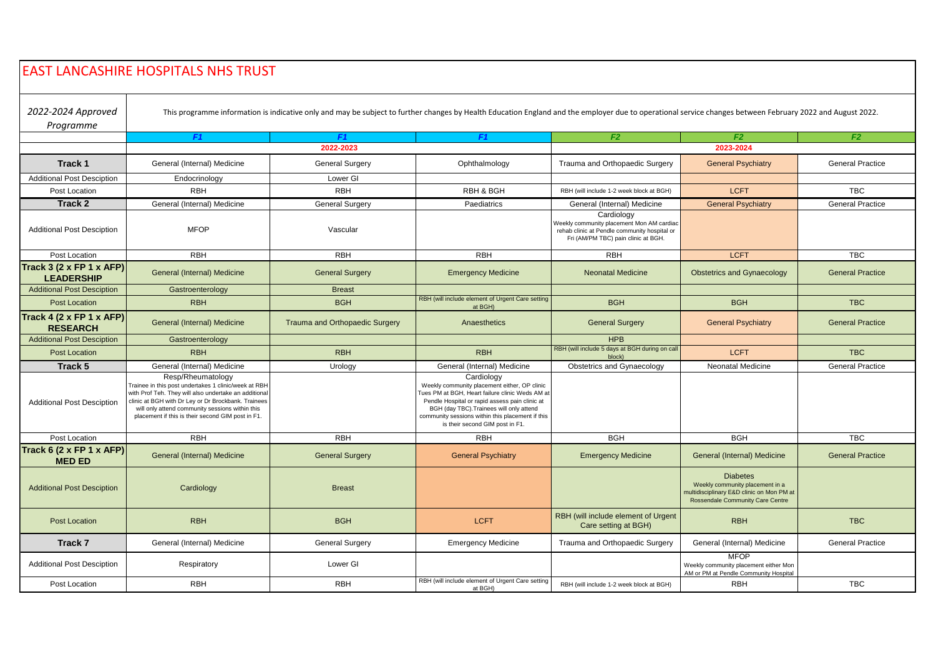## EAST LANCASHIRE HOSPITALS NHS TRUST

*2022-2024 Approved* 

This programme information is indicative only and may be subject to further changes by Health Education England and the employer due to operational service changes between February 2022 and August 2022.

| Programme                                     |                                                                                                                                                                                                                                                                                                   |                                       |                                                                                                                                                                                                                                                                                                    |                                                                                                                                                |                                                                                                                                            |                         |
|-----------------------------------------------|---------------------------------------------------------------------------------------------------------------------------------------------------------------------------------------------------------------------------------------------------------------------------------------------------|---------------------------------------|----------------------------------------------------------------------------------------------------------------------------------------------------------------------------------------------------------------------------------------------------------------------------------------------------|------------------------------------------------------------------------------------------------------------------------------------------------|--------------------------------------------------------------------------------------------------------------------------------------------|-------------------------|
|                                               | F1                                                                                                                                                                                                                                                                                                | F <sub>1</sub>                        | F <sub>1</sub>                                                                                                                                                                                                                                                                                     | F <sub>2</sub>                                                                                                                                 | F2                                                                                                                                         | F <sub>2</sub>          |
|                                               |                                                                                                                                                                                                                                                                                                   | 2022-2023                             |                                                                                                                                                                                                                                                                                                    |                                                                                                                                                | 2023-2024                                                                                                                                  |                         |
| Track 1                                       | General (Internal) Medicine                                                                                                                                                                                                                                                                       | <b>General Surgery</b>                | Ophthalmology                                                                                                                                                                                                                                                                                      | Trauma and Orthopaedic Surgery                                                                                                                 | <b>General Psychiatry</b>                                                                                                                  | <b>General Practice</b> |
| <b>Additional Post Desciption</b>             | Endocrinology                                                                                                                                                                                                                                                                                     | Lower GI                              |                                                                                                                                                                                                                                                                                                    |                                                                                                                                                |                                                                                                                                            |                         |
| Post Location                                 | <b>RBH</b>                                                                                                                                                                                                                                                                                        | <b>RBH</b>                            | <b>RBH &amp; BGH</b>                                                                                                                                                                                                                                                                               | RBH (will include 1-2 week block at BGH)                                                                                                       | <b>LCFT</b>                                                                                                                                | <b>TBC</b>              |
| Track 2                                       | General (Internal) Medicine                                                                                                                                                                                                                                                                       | <b>General Surgery</b>                | Paediatrics                                                                                                                                                                                                                                                                                        | General (Internal) Medicine                                                                                                                    | <b>General Psychiatry</b>                                                                                                                  | <b>General Practice</b> |
| <b>Additional Post Desciption</b>             | <b>MFOP</b>                                                                                                                                                                                                                                                                                       | Vascular                              |                                                                                                                                                                                                                                                                                                    | Cardiology<br>Weekly community placement Mon AM cardiac<br>rehab clinic at Pendle community hospital or<br>Fri (AM/PM TBC) pain clinic at BGH. |                                                                                                                                            |                         |
| Post Location                                 | <b>RBH</b>                                                                                                                                                                                                                                                                                        | <b>RBH</b>                            | <b>RBH</b>                                                                                                                                                                                                                                                                                         | <b>RBH</b>                                                                                                                                     | <b>LCFT</b>                                                                                                                                | <b>TBC</b>              |
| Track 3 (2 x FP 1 x AFP)<br><b>LEADERSHIP</b> | General (Internal) Medicine                                                                                                                                                                                                                                                                       | <b>General Surgery</b>                | <b>Emergency Medicine</b>                                                                                                                                                                                                                                                                          | <b>Neonatal Medicine</b>                                                                                                                       | <b>Obstetrics and Gynaecology</b>                                                                                                          | <b>General Practice</b> |
| <b>Additional Post Desciption</b>             | Gastroenterology                                                                                                                                                                                                                                                                                  | <b>Breast</b>                         |                                                                                                                                                                                                                                                                                                    |                                                                                                                                                |                                                                                                                                            |                         |
| <b>Post Location</b>                          | <b>RBH</b>                                                                                                                                                                                                                                                                                        | <b>BGH</b>                            | RBH (will include element of Urgent Care setting<br>at BGH)                                                                                                                                                                                                                                        | <b>BGH</b>                                                                                                                                     | <b>BGH</b>                                                                                                                                 | <b>TBC</b>              |
| Track 4 (2 x FP 1 x AFP)<br><b>RESEARCH</b>   | General (Internal) Medicine                                                                                                                                                                                                                                                                       | <b>Trauma and Orthopaedic Surgery</b> | Anaesthetics                                                                                                                                                                                                                                                                                       | <b>General Surgery</b>                                                                                                                         | <b>General Psychiatry</b>                                                                                                                  | <b>General Practice</b> |
| <b>Additional Post Desciption</b>             | Gastroenterology                                                                                                                                                                                                                                                                                  |                                       |                                                                                                                                                                                                                                                                                                    | <b>HPB</b>                                                                                                                                     |                                                                                                                                            |                         |
| <b>Post Location</b>                          | <b>RBH</b>                                                                                                                                                                                                                                                                                        | <b>RBH</b>                            | <b>RBH</b>                                                                                                                                                                                                                                                                                         | RBH (will include 5 days at BGH during on call<br>block)                                                                                       | <b>LCFT</b>                                                                                                                                | <b>TBC</b>              |
| Track 5                                       | General (Internal) Medicine                                                                                                                                                                                                                                                                       | Urology                               | General (Internal) Medicine                                                                                                                                                                                                                                                                        | Obstetrics and Gynaecology                                                                                                                     | <b>Neonatal Medicine</b>                                                                                                                   | <b>General Practice</b> |
| <b>Additional Post Desciption</b>             | Resp/Rheumatology<br>Trainee in this post undertakes 1 clinic/week at RBH<br>with Prof Teh. They will also undertake an additional<br>clinic at BGH with Dr Ley or Dr Brockbank. Trainees<br>will only attend community sessions within this<br>placement if this is their second GIM post in F1. |                                       | Cardiology<br>Weekly community placement either, OP clinic<br>Tues PM at BGH. Heart failure clinic Weds AM at<br>Pendle Hospital or rapid assess pain clinic at<br>BGH (day TBC). Trainees will only attend<br>community sessions within this placement if this<br>is their second GIM post in F1. |                                                                                                                                                |                                                                                                                                            |                         |
| Post Location                                 | <b>RBH</b>                                                                                                                                                                                                                                                                                        | <b>RBH</b>                            | <b>RBH</b>                                                                                                                                                                                                                                                                                         | <b>BGH</b>                                                                                                                                     | <b>BGH</b>                                                                                                                                 | <b>TBC</b>              |
| Track 6 (2 x FP 1 x AFP)<br><b>MED ED</b>     | General (Internal) Medicine                                                                                                                                                                                                                                                                       | <b>General Surgery</b>                | <b>General Psychiatry</b>                                                                                                                                                                                                                                                                          | <b>Emergency Medicine</b>                                                                                                                      | General (Internal) Medicine                                                                                                                | <b>General Practice</b> |
| <b>Additional Post Desciption</b>             | Cardiology                                                                                                                                                                                                                                                                                        | <b>Breast</b>                         |                                                                                                                                                                                                                                                                                                    |                                                                                                                                                | <b>Diabetes</b><br>Weekly community placement in a<br>nultidisciplinary E&D clinic on Mon PM at<br><b>Rossendale Community Care Centre</b> |                         |
| <b>Post Location</b>                          | <b>RBH</b>                                                                                                                                                                                                                                                                                        | <b>BGH</b>                            | <b>LCFT</b>                                                                                                                                                                                                                                                                                        | RBH (will include element of Urgent<br>Care setting at BGH)                                                                                    | <b>RBH</b>                                                                                                                                 | <b>TBC</b>              |
| Track 7                                       | General (Internal) Medicine                                                                                                                                                                                                                                                                       | General Surgery                       | <b>Emergency Medicine</b>                                                                                                                                                                                                                                                                          | Trauma and Orthopaedic Surgery                                                                                                                 | General (Internal) Medicine                                                                                                                | <b>General Practice</b> |
| <b>Additional Post Desciption</b>             | Respiratory                                                                                                                                                                                                                                                                                       | Lower GI                              |                                                                                                                                                                                                                                                                                                    |                                                                                                                                                | <b>MFOP</b><br>Weekly community placement either Mon<br>AM or PM at Pendle Community Hospital                                              |                         |
| Post Location                                 | <b>RBH</b>                                                                                                                                                                                                                                                                                        | <b>RBH</b>                            | RBH (will include element of Urgent Care setting<br>at BGH)                                                                                                                                                                                                                                        | RBH (will include 1-2 week block at BGH)                                                                                                       | <b>RBH</b>                                                                                                                                 | <b>TBC</b>              |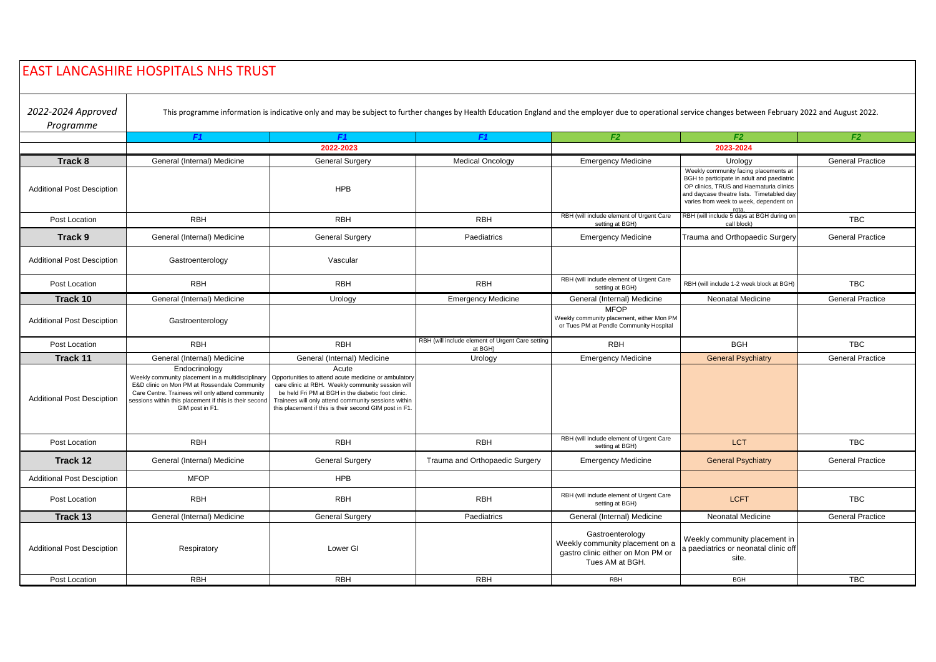| <b>EAST LANCASHIRE HOSPITALS NHS TRUST</b> |                                                                                                                                                                                                                                                     |                                                                                                                                                                                                                                                                                           |                                                             |                                                                                                             |                                                                                                                                                                                                                       |                         |
|--------------------------------------------|-----------------------------------------------------------------------------------------------------------------------------------------------------------------------------------------------------------------------------------------------------|-------------------------------------------------------------------------------------------------------------------------------------------------------------------------------------------------------------------------------------------------------------------------------------------|-------------------------------------------------------------|-------------------------------------------------------------------------------------------------------------|-----------------------------------------------------------------------------------------------------------------------------------------------------------------------------------------------------------------------|-------------------------|
| 2022-2024 Approved<br>Programme            |                                                                                                                                                                                                                                                     | This programme information is indicative only and may be subject to further changes by Health Education England and the employer due to operational service changes between February 2022 and August 2022.                                                                                |                                                             |                                                                                                             |                                                                                                                                                                                                                       |                         |
|                                            | F1                                                                                                                                                                                                                                                  | F1<br>2022-2023                                                                                                                                                                                                                                                                           | F1                                                          | F <sub>2</sub>                                                                                              | F2<br>2023-2024                                                                                                                                                                                                       | F2                      |
| Track 8                                    | General (Internal) Medicine                                                                                                                                                                                                                         | <b>General Surgery</b>                                                                                                                                                                                                                                                                    | <b>Medical Oncology</b>                                     | <b>Emergency Medicine</b>                                                                                   | Urology                                                                                                                                                                                                               | <b>General Practice</b> |
| <b>Additional Post Desciption</b>          |                                                                                                                                                                                                                                                     | <b>HPB</b>                                                                                                                                                                                                                                                                                |                                                             |                                                                                                             | Weekly community facing placements at<br>BGH to participate in adult and paediatric<br>OP clinics, TRUS and Haematuria clinics<br>and daycase theatre lists. Timetabled day<br>varies from week to week, dependent on |                         |
| Post Location                              | <b>RBH</b>                                                                                                                                                                                                                                          | <b>RBH</b>                                                                                                                                                                                                                                                                                | RBH                                                         | RBH (will include element of Urgent Care<br>setting at BGH)                                                 | RBH (will include 5 days at BGH during on<br>call block)                                                                                                                                                              | <b>TBC</b>              |
| Track 9                                    | General (Internal) Medicine                                                                                                                                                                                                                         | <b>General Surgery</b>                                                                                                                                                                                                                                                                    | Paediatrics                                                 | <b>Emergency Medicine</b>                                                                                   | Trauma and Orthopaedic Surgery                                                                                                                                                                                        | <b>General Practice</b> |
| <b>Additional Post Desciption</b>          | Gastroenterology                                                                                                                                                                                                                                    | Vascular                                                                                                                                                                                                                                                                                  |                                                             |                                                                                                             |                                                                                                                                                                                                                       |                         |
| Post Location                              | <b>RBH</b>                                                                                                                                                                                                                                          | <b>RBH</b>                                                                                                                                                                                                                                                                                | <b>RBH</b>                                                  | RBH (will include element of Urgent Care<br>setting at BGH)                                                 | RBH (will include 1-2 week block at BGH)                                                                                                                                                                              | <b>TBC</b>              |
| Track 10                                   | General (Internal) Medicine                                                                                                                                                                                                                         | Urology                                                                                                                                                                                                                                                                                   | <b>Emergency Medicine</b>                                   | General (Internal) Medicine                                                                                 | Neonatal Medicine                                                                                                                                                                                                     | <b>General Practice</b> |
| <b>Additional Post Desciption</b>          | Gastroenterology                                                                                                                                                                                                                                    |                                                                                                                                                                                                                                                                                           |                                                             | <b>MFOP</b><br>Weekly community placement, either Mon PM<br>or Tues PM at Pendle Community Hospital         |                                                                                                                                                                                                                       |                         |
| Post Location                              | <b>RBH</b>                                                                                                                                                                                                                                          | <b>RBH</b>                                                                                                                                                                                                                                                                                | RBH (will include element of Urgent Care setting<br>at BGH) | <b>RBH</b>                                                                                                  | <b>BGH</b>                                                                                                                                                                                                            | <b>TBC</b>              |
| Track 11                                   | General (Internal) Medicine                                                                                                                                                                                                                         | General (Internal) Medicine                                                                                                                                                                                                                                                               | Urology                                                     | <b>Emergency Medicine</b>                                                                                   | <b>General Psychiatry</b>                                                                                                                                                                                             | <b>General Practice</b> |
| <b>Additional Post Desciption</b>          | Endocrinology<br>Weekly community placement in a multidisciplinary<br>E&D clinic on Mon PM at Rossendale Community<br>Care Centre. Trainees will only attend community<br>sessions within this placement if this is their second<br>GIM post in F1. | Acute<br>Opportunities to attend acute medicine or ambulatory<br>care clinic at RBH. Weekly community session will<br>be held Fri PM at BGH in the diabetic foot clinic.<br>Trainees will only attend community sessions within<br>this placement if this is their second GIM post in F1. |                                                             |                                                                                                             |                                                                                                                                                                                                                       |                         |
| Post Location                              | <b>RBH</b>                                                                                                                                                                                                                                          | <b>RBH</b>                                                                                                                                                                                                                                                                                | <b>RBH</b>                                                  | RBH (will include element of Urgent Care<br>setting at BGH)                                                 | LCT                                                                                                                                                                                                                   | <b>TBC</b>              |
| Track 12                                   | General (Internal) Medicine                                                                                                                                                                                                                         | <b>General Surgery</b>                                                                                                                                                                                                                                                                    | Trauma and Orthopaedic Surgery                              | <b>Emergency Medicine</b>                                                                                   | <b>General Psychiatry</b>                                                                                                                                                                                             | <b>General Practice</b> |
| <b>Additional Post Desciption</b>          | <b>MFOP</b>                                                                                                                                                                                                                                         | <b>HPB</b>                                                                                                                                                                                                                                                                                |                                                             |                                                                                                             |                                                                                                                                                                                                                       |                         |
| Post Location                              | <b>RBH</b>                                                                                                                                                                                                                                          | <b>RBH</b>                                                                                                                                                                                                                                                                                | <b>RBH</b>                                                  | RBH (will include element of Urgent Care<br>setting at BGH)                                                 | <b>LCFT</b>                                                                                                                                                                                                           | <b>TBC</b>              |
| Track 13                                   | General (Internal) Medicine                                                                                                                                                                                                                         | <b>General Surgery</b>                                                                                                                                                                                                                                                                    | Paediatrics                                                 | General (Internal) Medicine                                                                                 | Neonatal Medicine                                                                                                                                                                                                     | <b>General Practice</b> |
| <b>Additional Post Desciption</b>          | Respiratory                                                                                                                                                                                                                                         | Lower GI                                                                                                                                                                                                                                                                                  |                                                             | Gastroenterology<br>Weekly community placement on a<br>gastro clinic either on Mon PM or<br>Tues AM at BGH. | Weekly community placement in<br>a paediatrics or neonatal clinic off<br>site.                                                                                                                                        |                         |
| Post Location                              | <b>RBH</b>                                                                                                                                                                                                                                          | <b>RBH</b>                                                                                                                                                                                                                                                                                | RBH                                                         | <b>RBH</b>                                                                                                  | <b>BGH</b>                                                                                                                                                                                                            | <b>TBC</b>              |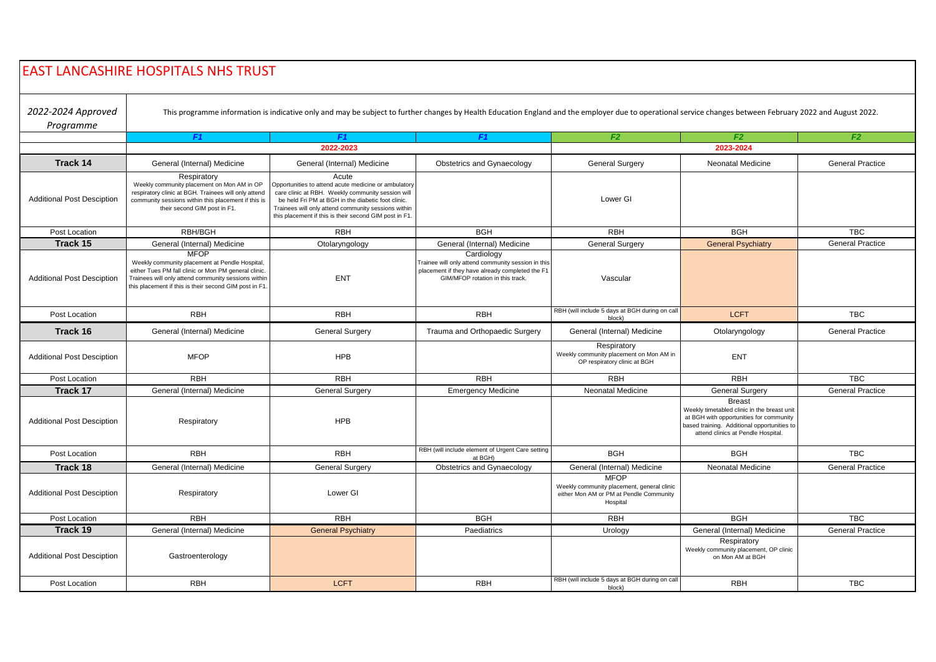|                                   | <b>EAST LANCASHIRE HOSPITALS NHS TRUST</b>                                                                                                                                                                                             |                                                                                                                                                                                                                                                                                           |                                                                                                                                                         |                                                                                                                  |                                                                                                                                                                                              |                         |  |
|-----------------------------------|----------------------------------------------------------------------------------------------------------------------------------------------------------------------------------------------------------------------------------------|-------------------------------------------------------------------------------------------------------------------------------------------------------------------------------------------------------------------------------------------------------------------------------------------|---------------------------------------------------------------------------------------------------------------------------------------------------------|------------------------------------------------------------------------------------------------------------------|----------------------------------------------------------------------------------------------------------------------------------------------------------------------------------------------|-------------------------|--|
| 2022-2024 Approved<br>Programme   |                                                                                                                                                                                                                                        | This programme information is indicative only and may be subject to further changes by Health Education England and the employer due to operational service changes between February 2022 and August 2022.                                                                                |                                                                                                                                                         |                                                                                                                  |                                                                                                                                                                                              |                         |  |
|                                   | F <sub>1</sub>                                                                                                                                                                                                                         | F <sub>1</sub>                                                                                                                                                                                                                                                                            | F <sub>1</sub>                                                                                                                                          | F2                                                                                                               | F2                                                                                                                                                                                           | F2                      |  |
|                                   |                                                                                                                                                                                                                                        | 2022-2023                                                                                                                                                                                                                                                                                 |                                                                                                                                                         | 2023-2024                                                                                                        |                                                                                                                                                                                              |                         |  |
| Track 14                          | General (Internal) Medicine                                                                                                                                                                                                            | General (Internal) Medicine                                                                                                                                                                                                                                                               | Obstetrics and Gynaecology                                                                                                                              | <b>General Surgery</b>                                                                                           | Neonatal Medicine                                                                                                                                                                            | <b>General Practice</b> |  |
| <b>Additional Post Desciption</b> | Respiratory<br>Weekly community placement on Mon AM in OP<br>respiratory clinic at BGH. Trainees will only attend<br>community sessions within this placement if this is<br>their second GIM post in F1.                               | Acute<br>Opportunities to attend acute medicine or ambulatory<br>care clinic at RBH. Weekly community session will<br>be held Fri PM at BGH in the diabetic foot clinic.<br>Trainees will only attend community sessions within<br>this placement if this is their second GIM post in F1. |                                                                                                                                                         | Lower GI                                                                                                         |                                                                                                                                                                                              |                         |  |
| Post Location                     | RBH/BGH                                                                                                                                                                                                                                | <b>RBH</b>                                                                                                                                                                                                                                                                                | <b>BGH</b>                                                                                                                                              | <b>RBH</b>                                                                                                       | <b>BGH</b>                                                                                                                                                                                   | <b>TBC</b>              |  |
| Track 15                          | General (Internal) Medicine                                                                                                                                                                                                            | Otolaryngology                                                                                                                                                                                                                                                                            | General (Internal) Medicine                                                                                                                             | <b>General Surgery</b>                                                                                           | <b>General Psychiatry</b>                                                                                                                                                                    | <b>General Practice</b> |  |
| <b>Additional Post Desciption</b> | <b>MFOP</b><br>Weekly community placement at Pendle Hospital,<br>either Tues PM fall clinic or Mon PM general clinic.<br>Trainees will only attend community sessions within<br>this placement if this is their second GIM post in F1. | <b>ENT</b>                                                                                                                                                                                                                                                                                | Cardiology<br>Trainee will only attend community session in this<br>placement if they have already completed the F1<br>GIM/MFOP rotation in this track. | Vascular                                                                                                         |                                                                                                                                                                                              |                         |  |
| Post Location                     | <b>RBH</b>                                                                                                                                                                                                                             | <b>RBH</b>                                                                                                                                                                                                                                                                                | <b>RBH</b>                                                                                                                                              | RBH (will include 5 days at BGH during on call<br>block)                                                         | <b>LCFT</b>                                                                                                                                                                                  | <b>TBC</b>              |  |
| Track 16                          | General (Internal) Medicine                                                                                                                                                                                                            | <b>General Surgery</b>                                                                                                                                                                                                                                                                    | Trauma and Orthopaedic Surgery                                                                                                                          | General (Internal) Medicine                                                                                      | Otolaryngology                                                                                                                                                                               | <b>General Practice</b> |  |
| <b>Additional Post Desciption</b> | <b>MFOP</b>                                                                                                                                                                                                                            | <b>HPB</b>                                                                                                                                                                                                                                                                                |                                                                                                                                                         | Respiratory<br>Weekly community placement on Mon AM in<br>OP respiratory clinic at BGH                           | <b>ENT</b>                                                                                                                                                                                   |                         |  |
| Post Location                     | <b>RBH</b>                                                                                                                                                                                                                             | <b>RBH</b>                                                                                                                                                                                                                                                                                | <b>RBH</b>                                                                                                                                              | <b>RBH</b>                                                                                                       | <b>RBH</b>                                                                                                                                                                                   | <b>TBC</b>              |  |
| Track 17                          | General (Internal) Medicine                                                                                                                                                                                                            | <b>General Surgery</b>                                                                                                                                                                                                                                                                    | <b>Emergency Medicine</b>                                                                                                                               | <b>Neonatal Medicine</b>                                                                                         | <b>General Surgery</b>                                                                                                                                                                       | <b>General Practice</b> |  |
| <b>Additional Post Desciption</b> | Respiratory                                                                                                                                                                                                                            | <b>HPB</b>                                                                                                                                                                                                                                                                                |                                                                                                                                                         |                                                                                                                  | <b>Breast</b><br>Weekly timetabled clinic in the breast unit<br>at BGH with opportunities for community<br>based training. Additional opportunities to<br>attend clinics at Pendle Hospital. |                         |  |
| Post Location                     | <b>RBH</b>                                                                                                                                                                                                                             | <b>RBH</b>                                                                                                                                                                                                                                                                                | RBH (will include element of Urgent Care setting<br>at BGH)                                                                                             | <b>BGH</b>                                                                                                       | <b>BGH</b>                                                                                                                                                                                   | <b>TBC</b>              |  |
| Track 18                          | General (Internal) Medicine                                                                                                                                                                                                            | <b>General Surgery</b>                                                                                                                                                                                                                                                                    | Obstetrics and Gynaecology                                                                                                                              | General (Internal) Medicine                                                                                      | Neonatal Medicine                                                                                                                                                                            | <b>General Practice</b> |  |
| <b>Additional Post Desciption</b> | Respiratory                                                                                                                                                                                                                            | Lower GI                                                                                                                                                                                                                                                                                  |                                                                                                                                                         | <b>MFOP</b><br>Weekly community placement, general clinic<br>either Mon AM or PM at Pendle Community<br>Hospital |                                                                                                                                                                                              |                         |  |
| Post Location                     | <b>RBH</b>                                                                                                                                                                                                                             | <b>RBH</b>                                                                                                                                                                                                                                                                                | <b>BGH</b>                                                                                                                                              | <b>RBH</b>                                                                                                       | <b>BGH</b>                                                                                                                                                                                   | <b>TBC</b>              |  |
| Track 19                          | General (Internal) Medicine                                                                                                                                                                                                            | <b>General Psychiatry</b>                                                                                                                                                                                                                                                                 | Paediatrics                                                                                                                                             | Urology                                                                                                          | General (Internal) Medicine                                                                                                                                                                  | <b>General Practice</b> |  |
| <b>Additional Post Desciption</b> | Gastroenterology                                                                                                                                                                                                                       |                                                                                                                                                                                                                                                                                           |                                                                                                                                                         |                                                                                                                  | Respiratory<br>Weekly community placement, OP clinic<br>on Mon AM at BGH                                                                                                                     |                         |  |
| Post Location                     | <b>RBH</b>                                                                                                                                                                                                                             | <b>LCFT</b>                                                                                                                                                                                                                                                                               | <b>RBH</b>                                                                                                                                              | RBH (will include 5 days at BGH during on call<br>block)                                                         | <b>RBH</b>                                                                                                                                                                                   | <b>TBC</b>              |  |